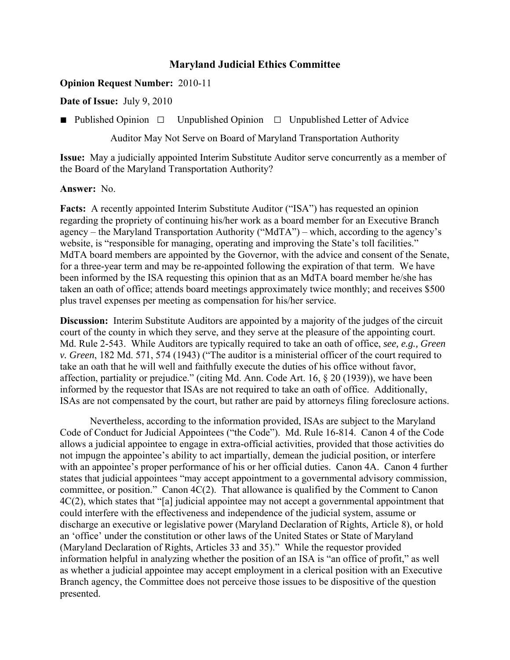## **Maryland Judicial Ethics Committee**

## **Opinion Request Number:** 2010-11

**Date of Issue:** July 9, 2010

■ Published Opinion **□** Unpublished Opinion **□** Unpublished Letter of Advice

Auditor May Not Serve on Board of Maryland Transportation Authority

**Issue:** May a judicially appointed Interim Substitute Auditor serve concurrently as a member of the Board of the Maryland Transportation Authority?

## **Answer:** No.

**Facts:** A recently appointed Interim Substitute Auditor ("ISA") has requested an opinion regarding the propriety of continuing his/her work as a board member for an Executive Branch agency – the Maryland Transportation Authority ("MdTA") – which, according to the agency's website, is "responsible for managing, operating and improving the State's toll facilities." MdTA board members are appointed by the Governor, with the advice and consent of the Senate, for a three-year term and may be re-appointed following the expiration of that term. We have been informed by the ISA requesting this opinion that as an MdTA board member he/she has taken an oath of office; attends board meetings approximately twice monthly; and receives \$500 plus travel expenses per meeting as compensation for his/her service.

**Discussion:** Interim Substitute Auditors are appointed by a majority of the judges of the circuit court of the county in which they serve, and they serve at the pleasure of the appointing court. Md. Rule 2-543. While Auditors are typically required to take an oath of office, *see, e.g., Green v. Green*, 182 Md. 571, 574 (1943) ("The auditor is a ministerial officer of the court required to take an oath that he will well and faithfully execute the duties of his office without favor, affection, partiality or prejudice." (citing Md. Ann. Code Art. 16, § 20 (1939)), we have been informed by the requestor that ISAs are not required to take an oath of office. Additionally, ISAs are not compensated by the court, but rather are paid by attorneys filing foreclosure actions.

Nevertheless, according to the information provided, ISAs are subject to the Maryland Code of Conduct for Judicial Appointees ("the Code"). Md. Rule 16-814. Canon 4 of the Code allows a judicial appointee to engage in extra-official activities, provided that those activities do not impugn the appointee's ability to act impartially, demean the judicial position, or interfere with an appointee's proper performance of his or her official duties. Canon 4A. Canon 4 further states that judicial appointees "may accept appointment to a governmental advisory commission, committee, or position." Canon 4C(2). That allowance is qualified by the Comment to Canon 4C(2), which states that "[a] judicial appointee may not accept a governmental appointment that could interfere with the effectiveness and independence of the judicial system, assume or discharge an executive or legislative power (Maryland Declaration of Rights, Article 8), or hold an 'office' under the constitution or other laws of the United States or State of Maryland (Maryland Declaration of Rights, Articles 33 and 35)." While the requestor provided information helpful in analyzing whether the position of an ISA is "an office of profit," as well as whether a judicial appointee may accept employment in a clerical position with an Executive Branch agency, the Committee does not perceive those issues to be dispositive of the question presented.